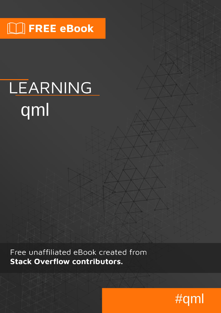# $\Box$  FREE eBook

# LEARNING qml

Free unaffiliated eBook created from **Stack Overflow contributors.** 

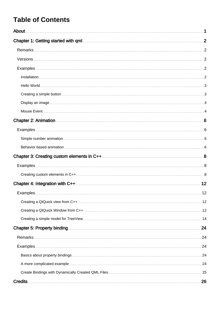# **Table of Contents**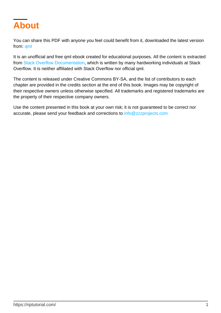<span id="page-2-0"></span>

You can share this PDF with anyone you feel could benefit from it, downloaded the latest version from: [qml](http://riptutorial.com/ebook/qml)

It is an unofficial and free qml ebook created for educational purposes. All the content is extracted from [Stack Overflow Documentation](https://archive.org/details/documentation-dump.7z), which is written by many hardworking individuals at Stack Overflow. It is neither affiliated with Stack Overflow nor official qml.

The content is released under Creative Commons BY-SA, and the list of contributors to each chapter are provided in the credits section at the end of this book. Images may be copyright of their respective owners unless otherwise specified. All trademarks and registered trademarks are the property of their respective company owners.

Use the content presented in this book at your own risk; it is not guaranteed to be correct nor accurate, please send your feedback and corrections to [info@zzzprojects.com](mailto:info@zzzprojects.com)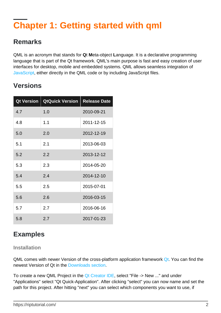# <span id="page-3-0"></span>**Chapter 1: Getting started with qml**

### <span id="page-3-1"></span>**Remarks**

QML is an acronym that stands for **Q**t **M**eta-object **L**anguage. It is a declarative programming language that is part of the Qt framework. QML's main purpose is fast and easy creation of user interfaces for desktop, mobile and embedded systems. QML allows seamless integration of [JavaScript](http://www.riptutorial.com/topic/185), either directly in the QML code or by including JavaScript files.

### <span id="page-3-2"></span>**Versions**

| <b>Qt Version</b> | <b>QtQuick Version</b> | <b>Release Date</b> |
|-------------------|------------------------|---------------------|
| 4.7               | 1.0                    | 2010-09-21          |
| 4.8               | 1.1                    | 2011-12-15          |
| 5.0               | 2.0                    | 2012-12-19          |
| 5.1               | 2.1                    | 2013-06-03          |
| 5.2               | 2.2                    | 2013-12-12          |
| 5.3               | 2.3                    | 2014-05-20          |
| 5.4               | 2.4                    | 2014-12-10          |
| 5.5               | 2.5                    | 2015-07-01          |
| 5.6               | 2.6                    | 2016-03-15          |
| 5.7               | 2.7                    | 2016-06-16          |
| 5.8               | 2.7                    | 2017-01-23          |

## <span id="page-3-3"></span>**Examples**

#### <span id="page-3-4"></span>**Installation**

QML comes with newer Version of the cross-platform application framework [Qt](https://www.qt.io/). You can find the newest Version of Qt in the [Downloads section](https://www.qt.io/download-open-source/#section-2).

To create a new QML Project in the [Qt Creator IDE](https://www.qt.io/ide/), select "File -> New ..." and under "Applications" select "Qt Quick-Application". After clicking "select" you can now name and set the path for this project. After hitting "next" you can select which components you want to use, if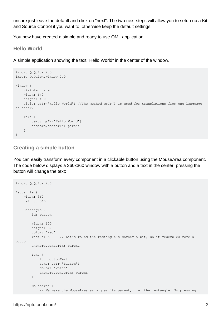unsure just leave the default and click on "next". The two next steps will allow you to setup up a Kit and Source Control if you want to, otherwise keep the default settings.

<span id="page-4-0"></span>You now have created a simple and ready to use QML application.

**Hello World**

A simple application showing the text "Hello World" in the center of the window.

```
import QtQuick 2.3
import QtQuick.Window 2.0
Window {
    visible: true
    width: 640
    height: 480
    title: qsTr("Hello World") //The method qsTr() is used for translations from one language
to other.
    Text {
       text: qsTr("Hello World")
       anchors.centerIn: parent
    }
}
```
#### <span id="page-4-1"></span>**Creating a simple button**

You can easily transform every component in a clickable button using the MouseArea component. The code below displays a 360x360 window with a button and a text in the center; pressing the button will change the text:

```
import QtQuick 2.0
Rectangle {
   width: 360
    height: 360
    Rectangle {
        id: button
        width: 100
        height: 30
        color: "red"
        radius: 5 // Let's round the rectangle's corner a bit, so it resembles more a
button
        anchors.centerIn: parent
         Text {
            id: buttonText
            text: qsTr("Button")
            color: "white"
             anchors.centerIn: parent
         }
         MouseArea {
             // We make the MouseArea as big as its parent, i.e. the rectangle. So pressing
```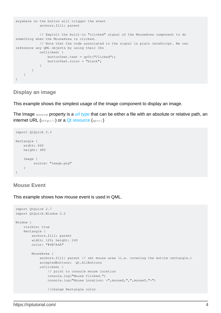```
anywhere on the button will trigger the event
            anchors.fill: parent
            // Exploit the built-in "clicked" signal of the MouseArea component to do
something when the MouseArea is clicked.
            // Note that the code associated to the signal is plain JavaScript. We can
reference any QML objects by using their IDs
            onClicked: {
                buttonText.text = qsTr("Clicked");
                buttonText.color = "black";
 }
        }
    }
}
```
#### <span id="page-5-0"></span>**Display an image**

This example shows the simplest usage of the Image component to display an image.

The Image source property is a [url type](http://doc.qt.io/qt-5/qml-url.html) that can be either a file with an absolute or relative path, an internet URL (http://) or a [Qt resource](http://doc.qt.io/qt-5/resources.html) (qrc:/)

```
import QtQuick 2.3
Rectangle {
    width: 640
    height: 480
     Image {
         source: "image.png"
     }
}
```
#### <span id="page-5-1"></span>**Mouse Event**

This example shows how mouse event is used in QML.

```
import QtQuick 2.7
import QtQuick.Window 2.2
Window {
    visible: true
     Rectangle {
        anchors.fill: parent
        width: 120; height: 240
        color: "#4B7A4A"
         MouseArea {
             anchors.fill: parent // set mouse area (i.e. covering the entire rectangle.)
             acceptedButtons: Qt.AllButtons
             onClicked: {
                 // print to console mouse location
                 console.log("Mouse Clicked.")
                 console.log("Mouse Location: <",mouseX,",",mouseY,">")
                 //change Rectangle color
```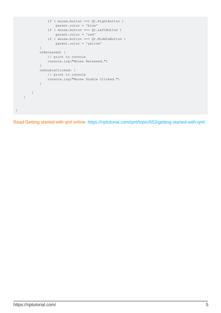```
 if ( mouse.button === Qt.RightButton )
                   parent.color = 'blue'
                if ( mouse.button === Qt.LeftButton )
                   parent.color = 'red'
                if ( mouse.button === Qt.MiddleButton )
                   parent.color = 'yellow'
 }
            onReleased: {
               // print to console
                console.log("Mouse Released.")
 }
            onDoubleClicked: {
               // print to console
               console.log("Mouse Double Clicked.")
 }
        }
    }
}
```
Read Getting started with qml online:<https://riptutorial.com/qml/topic/653/getting-started-with-qml>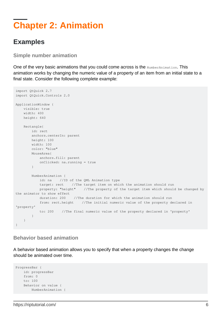# <span id="page-7-0"></span>**Chapter 2: Animation**

### <span id="page-7-1"></span>**Examples**

<span id="page-7-2"></span>**Simple number animation**

One of the very basic animations that you could come across is the NumberAnimation. This animation works by changing the numeric value of a property of an item from an initial state to a final state. Consider the following complete example:

```
import QtQuick 2.7
import QtQuick.Controls 2.0
ApplicationWindow {
    visible: true
    width: 400
    height: 640
    Rectangle{
        id: rect
        anchors.centerIn: parent
        height: 100
        width: 100
        color: "blue"
        MouseArea{
            anchors.fill: parent
            onClicked: na.running = true
         }
        NumberAnimation {
            id: na //ID of the QML Animation type
            target: rect //The target item on which the animation should run
            property: "height" //The property of the target item which should be changed by
the animator to show effect
            duration: 200 //The duration for which the animation should run
             from: rect.height //The initial numeric value of the property declared in
'property'
            to: 200 //The final numeric value of the property declared in 'property'
         }
    }
}
```
#### <span id="page-7-3"></span>**Behavior based animation**

A behavior based animation allows you to specify that when a property changes the change should be animated over time.

```
ProgressBar {
    id: progressBar
     from: 0
    to: 100
     Behavior on value {
        NumberAnimation {
```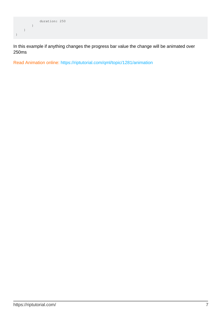

In this example if anything changes the progress bar value the change will be animated over 250ms

Read Animation online:<https://riptutorial.com/qml/topic/1281/animation>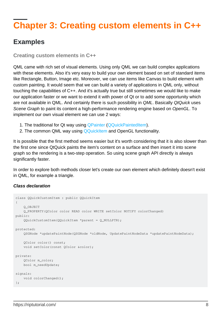# <span id="page-9-0"></span>**Chapter 3: Creating custom elements in C++**

### <span id="page-9-1"></span>**Examples**

<span id="page-9-2"></span>**Creating custom elements in C++**

QML came with rich set of visual elements. Using only QML we can build complex applications with these elements. Also it's very easy to build your own element based on set of standard items like Rectangle, Button, Image etc. Moreover, we can use items like Canvas to build element with custom painting. It would seem that we can build a variety of applications in QML only, without touching the capabilities of C++. And it's actually true but still sometimes we would like to make our application faster or we want to extend it with power of Qt or to add some opportunity which are not available in QML. And certainly there is such possibility in QML. Basically QtQuick uses Scene Graph to paint its content a high-performance rendering engine based on OpenGL. To implement our own visual element we can use 2 ways:

- 1. The traditional for Qt way using [QPainter](http://doc.qt.io/qt-5/qpainter.html) [\(QQuickPaintedItem](http://doc.qt.io/qt-5/qquickpainteditem.html)).
- 2. The common QML way using [QQuickItem](http://doc.qt.io/qt-5/qquickitem.html) and OpenGL functionality.

It is possible that the first method seems easier but it's worth considering that it is also slower than the first one since QtQuick paints the item's content on a surface and then insert it into scene graph so the rendering is a two-step operation. So using scene graph API directly is always significantly faster.

In order to explore both methods closer let's create our own element which definitely doesn't exist in QML, for example a triangle.

#### **Class declaration**

```
class QQuickCustomItem : public QQuickItem
{
    Q_OBJECT
    Q_PROPERTY(QColor color READ color WRITE setColor NOTIFY colorChanged)
public:
    QQuickCustomItem(QQuickItem *parent = Q_NULLPTR);
protected:
    QSGNode *updatePaintNode(QSGNode *oldNode, UpdatePaintNodeData *updatePaintNodeData);
     QColor color() const;
    void setColor(const OColor &color);
private:
    QColor m_color;
    bool m_needUpdate;
signals:
    void colorChanged();
};
```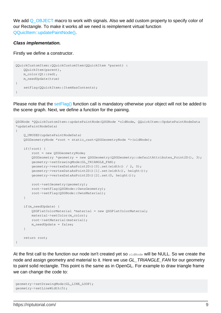We add [Q\\_OBJECT](http://doc.qt.io/qt-5/qobject.html#Q_OBJECT) macro to work with signals. Also we add custom property to specify color of our Rectangle. To make it works all we need is reimplement virtual function [QQuiclItem::updatePaintNode\(\)](http://doc.qt.io/qt-5/qquickitem.html#updatePaintNode).

#### **Class implementation.**

Firstly we define a constructor.

```
QQuickCustomItem::QQuickCustomItem(QQuickItem *parent) :
    QQuickItem(parent),
    m_color(Qt::red),
    m_needUpdate(true)
{
   setFlag(QQuickItem::ItemHasContents);
}
```
Please note that the set Flag() function call is mandatory otherwise your object will not be added to the scene graph. Next, we define a function for the paining.

```
QSGNode *QQuickCustomItem::updatePaintNode(QSGNode *oldNode, QQuickItem::UpdatePaintNodeData
*updatePaintNodeData)
{
     Q_UNUSED(updatePaintNodeData)
     QSGGeometryNode *root = static_cast<QSGGeometryNode *>(oldNode);
     if(!root) {
        root = new QSGGeometryNode;
        QSGGeometry *geometry = new QSGGeometry(QSGGeometry::defaultAttributes_Point2D(), 3);
         geometry->setDrawingMode(GL_TRIANGLE_FAN);
         geometry->vertexDataAsPoint2D()[0].set(width() / 2, 0);
         geometry->vertexDataAsPoint2D()[1].set(width(), height());
         geometry->vertexDataAsPoint2D()[2].set(0, height());
        root->setGeometry(geometry);
        root->setFlag(QSGNode::OwnsGeometry);
        root->setFlag(QSGNode::OwnsMaterial);
     }
     if(m_needUpdate) {
        QSGFlatColorMaterial *material = new QSGFlatColorMaterial;
        material->setColor(m_color);
        root->setMaterial(material);
        m_needUpdate = false;
     }
     return root;
}
```
At the first call to the function our node isn't created yet so **oldNode** will be NULL. So we create the node and assign geometry and material to it. Here we use GL TRIANGLE FAN for our geometry to paint solid rectangle. This point is the same as in OpenGL. For example to draw triangle frame we can change the code to:

```
geometry->setDrawingMode(GL_LINE_LOOP);
geometry->setLineWidth(5);
```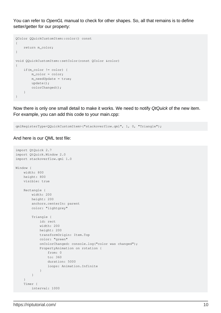You can refer to OpenGL manual to check for other shapes. So, all that remains is to define setter/getter for our property:

```
QColor QQuickCustomItem::color() const
{
     return m_color;
}
void QQuickCustomItem::setColor(const QColor &color)
{
     if(m_color != color) {
        m_color = color;
        m_needUpdate = true;
         update();
        colorChanged();
    }
}
```
Now there is only one small detail to make it works. We need to notify QtQuick of the new item. For example, you can add this code to your main.cpp:

```
qmlRegisterType<QQuickCustomItem>("stackoverflow.qml", 1, 0, "Triangle");
```
#### And here is our QML test file:

```
import QtQuick 2.7
import QtQuick.Window 2.0
import stackoverflow.qml 1.0
Window {
    width: 800
    height: 800
    visible: true
    Rectangle {
        width: 200
        height: 200
        anchors.centerIn: parent
        color: "lightgrey"
         Triangle {
            id: rect
            width: 200
            height: 200
            transformOrigin: Item.Top
            color: "green"
             onColorChanged: console.log("color was changed");
             PropertyAnimation on rotation {
                 from: 0
                 to: 360
                 duration: 5000
                 loops: Animation.Infinite
 }
         }
     }
     Timer {
         interval: 1000
```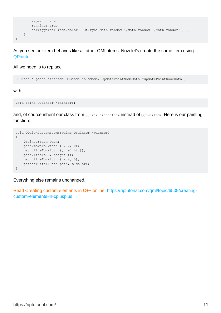```
 repeat: true
         running: true
        onTriggered: rect.color = Qt.rgba(Math.random(),Math.random(),Math.random(),1);
    }
}
```
As you see our item behaves like all other QML items. Now let's create the same item using [QPainter](http://doc.qt.io/qt-5/qpainter.html):

#### All we need is to replace

QSGNode \*updatePaintNode(QSGNode \*oldNode, UpdatePaintNodeData \*updatePaintNodeData);

#### with

```
void paint(QPainter *painter);
```
and, of cource inherit our class from *QQuickPaintedItem* instead of *QQuickItem*. Here is our painting function:

```
void QQuickCustomItem::paint(QPainter *painter)
{
    QPainterPath path;
    path.moveTo(width() / 2, 0);
    path.lineTo(width(), height());
    path.lineTo(0, height());
    path.lineTo(width() / 2, 0);
    painter->fillPath(path, m_color);
}
```
Everything else remains unchanged.

Read Creating custom elements in C++ online: [https://riptutorial.com/qml/topic/6509/creating](https://riptutorial.com/qml/topic/6509/creating-custom-elements-in-cplusplus)[custom-elements-in-cplusplus](https://riptutorial.com/qml/topic/6509/creating-custom-elements-in-cplusplus)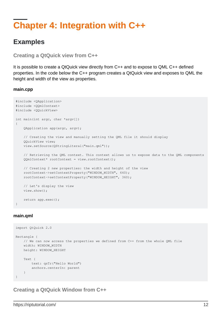# <span id="page-13-0"></span>**Chapter 4: Integration with C++**

### <span id="page-13-1"></span>**Examples**

<span id="page-13-2"></span>**Creating a QtQuick view from C++**

It is possible to create a QtQuick view directly from C++ and to expose to QML C++ defined properties. In the code below the C++ program creates a QtQuick view and exposes to QML the height and width of the view as properties.

#### **main.cpp**

```
#include <QApplication>
#include <QQmlContext>
#include <QQuickView>
int main(int argc, char *argv[])
{
     QApplication app(argc, argv);
     // Creating the view and manually setting the QML file it should display
     QQuickView view;
     view.setSource(QStringLiteral("main.qml"));
     // Retrieving the QML context. This context allows us to expose data to the QML components
     QQmlContext* rootContext = view.rootContext();
     // Creating 2 new properties: the width and height of the view
     rootContext->setContextProperty("WINDOW_WIDTH", 640);
     rootContext->setContextProperty("WINDOW_HEIGHT", 360);
     // Let's display the view
     view.show();
     return app.exec();
}
```
#### **main.qml**

```
import QtQuick 2.0
Rectangle {
    // We can now access the properties we defined from C++ from the whole QML file
    width: WINDOW_WIDTH
    height: WINDOW_HEIGHT
    Text {
       text: qsTr("Hello World")
        anchors.centerIn: parent
     }
}
```
<span id="page-13-3"></span>**Creating a QtQuick Window from C++**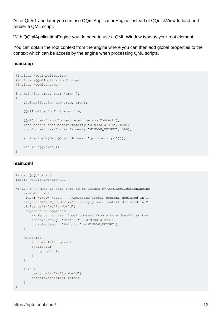As of Qt 5.1 and later you can use QQmlApplicationEngine instead of QQuickView to load and render a QML script.

With QQmlApplicationEngine you do need to use a QML Window type as your root element.

You can obtain the root context from the engine where you can then add global properties to the context which can be access by the engine when processing QML scripts.

#### **main.cpp**

```
#include <QGuiApplication>
#include <QQmlApplicationEngine>
#include <QQmlContext>
int main(int argc, char *argv[])
{
     QGuiApplication app(argc, argv);
     QQmlApplicationEngine engine;
   QQmlContext* rootContext = engine.rootContext();
     rootContext->setContextProperty("WINDOW_WIDTH", 640);
     rootContext->setContextProperty("WINDOW_HEIGHT", 360);
    engine.load(QUrl(QStringLiteral("qrc:/main.qml")));
    return app.exec();
}
```
#### **main.qml**

```
import QtQuick 2.5
import QtQuick.Window 2.2
Window { // Must be this type to be loaded by QQmlApplicationEngine.
    visible: true
    width: WINDOW_WIDTH //Accessing global context declared in C++
    height: WINDOW_HEIGHT //Accessing global context declared in C++
    title: qsTr("Hello World")
     Component.onCompleted: {
        // We can access global context from within JavaScript too.
        console.debug( "Width: " + WINDOW_WIDTH )
        console.debug( "Height: " + WINDOW_HEIGHT )
     }
     MouseArea {
       anchors.fill: parent
        onClicked: {
            Qt.quit();
         }
     }
     Text {
        text: qsTr("Hello World")
        anchors.centerIn: parent
     }
}
```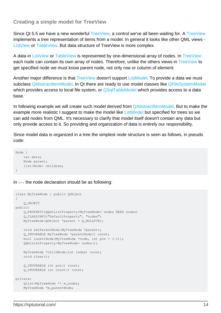#### <span id="page-15-0"></span>**Creating a simple model for TreeView**

Since Qt 5.5 we have a new wonderful [TreeView,](http://doc.qt.io/qt-5/qml-qtquick-controls-treeview.html) a control we've all been waiting for. A [TreeView](http://doc.qt.io/qt-5/qml-qtquick-controls-treeview.html) implements a tree representation of items from a model. In general it looks like other QML views - [ListView](http://doc.qt.io/qt-5/qml-qtquick-listview.html) or [TableView](http://doc.qt.io/qt-5/qml-qtquick-controls-tableview.html). But data structure of TreeView is more complex.

A data in [ListView](http://doc.qt.io/qt-5/qml-qtquick-listview.html) or [TableView](http://doc.qt.io/qt-5/qml-qtquick-controls-tableview.html) is represented by one-dimensional array of nodes. In [TreeView](http://doc.qt.io/qt-5/qml-qtquick-controls-treeview.html) each node can contain its own array of nodes. Therefore, unlike the others views in [TreeView](http://doc.qt.io/qt-5/qml-qtquick-controls-treeview.html) to get specified node we must know parent node, not only row or column of element.

Another major difference is that [TreeView](http://doc.qt.io/qt-5/qml-qtquick-controls-treeview.html) doesn't support [ListModel](http://doc.qt.io/qt-5/qml-qtqml-models-listmodel.html). To provide a data we must subclass [QAbstractItemModel](http://doc.qt.io/qt-5/qabstractitemmodel.html). In Qt there are ready to use model classes like [QFileSystemModel](http://doc.qt.io/qt-5/qfilesystemmodel.html) which provides access to local file system, or [QSqlTableModel](http://doc.qt.io/qt-5/qsqltablemodel.html) which provides access to a data base.

In following example we will create such model derived from **QAbstractItemModel**. But to make the example more realistic I suggest to make the model like [ListModel](http://doc.qt.io/qt-5/qml-qtqml-models-listmodel.html) but specified for trees so we can add nodes from QML. It's necessary to clarify that model itself doesn't contain any data but only provide access to it. So providing and organization of data is entirely our responsibility.

Since model data is organized in a tree the simplest node structure is seen as follows, in pseudo code:

```
Node {
    var data;
    Node parent;
    list<Node> children;
}
```
In  $C++$  the node declaration should be as following:

```
class MyTreeNode : public QObject
{
    Q_OBJECT
public:
    Q_PROPERTY(QQmlListProperty<MyTreeNode> nodes READ nodes)
     Q_CLASSINFO("DefaultProperty", "nodes")
    MyTreeNode(QObject *parent = Q_NULLPTR);
    void setParentNode(MyTreeNode *parent);
     Q_INVOKABLE MyTreeNode *parentNode() const;
   bool insertNode(MyTreeNode *node, int pos = (-1));
    QQmlListProperty<MyTreeNode> nodes();
    MyTreeNode *childNode(int index) const;
    void clear();
     Q_INVOKABLE int pos() const;
     Q_INVOKABLE int count() const;
private:
     QList<MyTreeNode *> m_nodes;
     MyTreeNode *m_parentNode;
```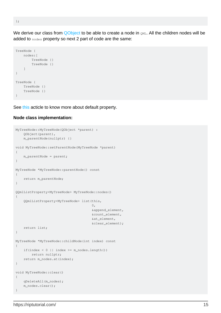We derive our class from [QObject](http://doc.qt.io/qt-5/qobject.html) to be able to create a node in  $QML$ . All the children nodes will be added to nodes property so next 2 part of code are the same:

```
TreeNode {
    nodes:[
         TreeNode {}
         TreeNode {}
     ]
}
TreeNode {
     TreeNode {}
     TreeNode {}
}
```
See [this](http://doc.qt.io/qt-5/qtqml-cppintegration-definetypes.html#specifying-default-properties-for-qml-object-types) acticle to know more about default property.

#### **Node class implementation:**

```
MyTreeNode::MyTreeNode(QObject *parent) :
       QObject(parent),
       m_parentNode(nullptr) {}
void MyTreeNode::setParentNode(MyTreeNode *parent)
{
       m_parentNode = parent;
}
MyTreeNode *MyTreeNode::parentNode() const
{
       return m_parentNode;
}
QQmlListProperty<MyTreeNode> MyTreeNode::nodes()
{
       QQmlListProperty<MyTreeNode> list(this,
\mathfrak{0},\mathfrak{0},\mathfrak{0},\mathfrak{0},\mathfrak{0},\mathfrak{0},\mathfrak{0},\mathfrak{0},\mathfrak{0},\mathfrak{0},\mathfrak{0},\mathfrak{0},\mathfrak{0},\mathfrak{0},\mathfrak{0},\mathfrak{0},\mathfrak{0},\mathfrak{0},\mathfrak{0},\mathfrak{0},\mathfrak{0},\mathfrak{0},\mathfrak{0},\mathfrak{0},\mathfrak{0},\mathfrak{0},\mathfrak{0},\mathfrak{0},\mathfrak{0},\mathfrak{0},\mathfrak{0},\mathfr &append_element,
                                                               &count_element,
                                                               &at_element,
                                                               &clear_element);
       return list;
}
MyTreeNode *MyTreeNode::childNode(int index) const
{
      if(intex < 0 || index >= m nodes.length()) return nullptr;
       return m_nodes.at(index);
}
void MyTreeNode::clear()
{
       qDeleteAll(m_nodes);
       m_nodes.clear();
}
```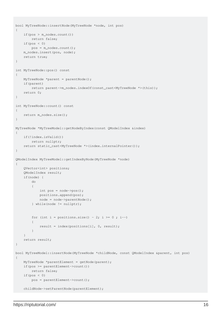```
bool MyTreeNode::insertNode(MyTreeNode *node, int pos)
{
      if(pos > m_nodes.count())
          return false;
      if(pos < 0)
          pos = m_nodes.count();
     m_nodes.insert(pos, node);
     return true;
}
int MyTreeNode::pos() const
{
     MyTreeNode *parent = parentNode();
     if(parent)
          return parent->m_nodes.indexOf(const_cast<MyTreeNode *>(this));
     return 0;
}
int MyTreeNode::count() const
{
     return m_nodes.size();
}
MyTreeNode *MyTreeModel::getNodeByIndex(const QModelIndex &index)
{
      if(!index.isValid())
          return nullptr;
     return static_cast<MyTreeNode *>(index.internalPointer());
}
QModelIndex MyTreeModel::getIndexByNode(MyTreeNode *node)
{
      QVector<int> positions;
      QModelIndex result;
      if(node) {
           do
\left\{ \begin{array}{cc} 0 & 0 & 0 \\ 0 & 0 & 0 \\ 0 & 0 & 0 \\ 0 & 0 & 0 \\ 0 & 0 & 0 \\ 0 & 0 & 0 \\ 0 & 0 & 0 \\ 0 & 0 & 0 \\ 0 & 0 & 0 \\ 0 & 0 & 0 \\ 0 & 0 & 0 \\ 0 & 0 & 0 \\ 0 & 0 & 0 & 0 \\ 0 & 0 & 0 & 0 \\ 0 & 0 & 0 & 0 \\ 0 & 0 & 0 & 0 & 0 \\ 0 & 0 & 0 & 0 & 0 \\ 0 & 0 & 0 & 0 & 0 \\ 0 & 0 & 0 & 0 & 0 \\ 0 & 0int pos = node->pos();
                positions.append(pos);
                node = node->parentNode();
           } while(node != nullptr);
          for (int i = positions.size() - 2; i >= 0; i--)
           {
                result = index(positions[i], 0, result);
 }
      }
      return result;
}
bool MyTreeModel::insertNode(MyTreeNode *childNode, const QModelIndex &parent, int pos)
{
      MyTreeNode *parentElement = getNode(parent);
      if(pos >= parentElement->count())
          return false;
     if(pos \leq 0)
          pos = parentElement->count();
     childNode->setParentNode(parentElement);
```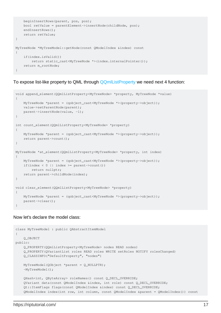```
 beginInsertRows(parent, pos, pos);
     bool retValue = parentElement->insertNode(childNode, pos);
     endInsertRows();
     return retValue;
}
MyTreeNode *MyTreeModel::getNode(const QModelIndex &index) const
{
     if(index.isValid())
         return static_cast<MyTreeNode *>(index.internalPointer());
     return m_rootNode;
}
```
#### To expose list-like property to QML through [QQmlListProperty](http://doc.qt.io/qt-5/qqmllistproperty.html) we need next 4 function:

```
void append_element(QQmlListProperty<MyTreeNode> *property, MyTreeNode *value)
{
    MyTreeNode *parent = (qobject_cast<MyTreeNode *>(property->object));
    value->setParentNode(parent);
    parent->insertNode(value, -1);
}
int count_element(QQmlListProperty<MyTreeNode> *property)
{
    MyTreeNode *parent = (qobject_cast<MyTreeNode *>(property->object));
     return parent->count();
}
MyTreeNode *at_element(QQmlListProperty<MyTreeNode> *property, int index)
{
     MyTreeNode *parent = (qobject_cast<MyTreeNode *>(property->object));
    if(intex < 0 || index >= parent-&gt;count()) return nullptr;
    return parent->childNode(index);
}
void clear_element(QQmlListProperty<MyTreeNode> *property)
{
     MyTreeNode *parent = (qobject_cast<MyTreeNode *>(property->object));
     parent->clear();
}
```
#### Now let's declare the model class:

```
class MyTreeModel : public QAbstractItemModel
{
    Q_OBJECT
public:
     Q_PROPERTY(QQmlListProperty<MyTreeNode> nodes READ nodes)
     Q_PROPERTY(QVariantList roles READ roles WRITE setRoles NOTIFY rolesChanged)
     Q_CLASSINFO("DefaultProperty", "nodes")
     MyTreeModel(QObject *parent = Q_NULLPTR);
     ~MyTreeModel();
     QHash<int, QByteArray> roleNames() const Q_DECL_OVERRIDE;
     QVariant data(const QModelIndex &index, int role) const Q_DECL_OVERRIDE;
     Qt::ItemFlags flags(const QModelIndex &index) const Q_DECL_OVERRIDE;
     QModelIndex index(int row, int column, const QModelIndex &parent = QModelIndex()) const
```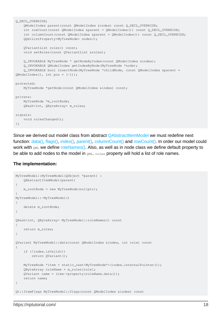```
Q_DECL_OVERRIDE;
     QModelIndex parent(const QModelIndex &index) const Q_DECL_OVERRIDE;
     int rowCount(const QModelIndex &parent = QModelIndex()) const Q_DECL_OVERRIDE;
    int columnCount(const QModelIndex &parent = QModelIndex()) const Q_DECL_OVERRIDE;
     QQmlListProperty<MyTreeNode> nodes();
     QVariantList roles() const;
    void setRoles(const QVariantList &roles);
    Q_INVOKABLE MyTreeNode * getNodeByIndex(const QModelIndex &index);
     Q_INVOKABLE QModelIndex getIndexByNode(MyTreeNode *node);
     Q_INVOKABLE bool insertNode(MyTreeNode *childNode, const QModelIndex &parent =
QModelIndex(), int pos = (-1));
protected:
    MyTreeNode *getNode(const QModelIndex &index) const;
private:
     MyTreeNode *m_rootNode;
     QHash<int, QByteArray> m_roles;
signals:
    void rolesChanged();
};
```
Since we derived out model class from abstract [QAbstractItemModel](http://doc.qt.io/qt-5/qabstractitemmodel.html) we must redefine next function: [data\(\)](http://doc.qt.io/qt-5/qabstractitemmodel.html#data), [flags\(\)](http://doc.qt.io/qt-5/qabstractitemmodel.html#flags), [index\(\)](http://doc.qt.io/qt-5/qabstractitemmodel.html#index), [parent\(\)](http://doc.qt.io/qt-5/qabstractitemmodel.html#parent), [columnCount\(\)](http://doc.qt.io/qt-5/qabstractitemmodel.html#columnCount) and [rowCount\(\)](http://doc.qt.io/qt-5/qabstractitemmodel.html#rowCount). In order our model could work with QML we define [roleNames\(\).](http://doc.qt.io/qt-5/qabstractitemmodel.html#roleNames) Also, as well as in node class we define default property to be able to add nodes to the model in  $QML$ . roles property will hold a list of role names.

#### **The implementation:**

```
MyTreeModel::MyTreeModel(QObject *parent) :
    QAbstractItemModel(parent)
{
    m_rootNode = new MyTreeNode(nullptr);
}
MyTreeModel::~MyTreeModel()
{
     delete m_rootNode;
}
QHash<int, QByteArray> MyTreeModel::roleNames() const
{
     return m_roles;
}
QVariant MyTreeModel::data(const QModelIndex &index, int role) const
{
     if (!index.isValid())
        return QVariant();
     MyTreeNode *item = static_cast<MyTreeNode*>(index.internalPointer());
     QByteArray roleName = m_roles[role];
    QVariant name = item->property(roleName.data());
     return name;
}
Qt::ItemFlags MyTreeModel::flags(const QModelIndex &index) const
```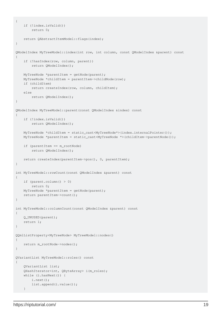```
{
     if (!index.isValid())
        return 0;
     return QAbstractItemModel::flags(index);
}
QModelIndex MyTreeModel::index(int row, int column, const QModelIndex &parent) const
{
     if (!hasIndex(row, column, parent))
        return QModelIndex();
    MyTreeNode *parentItem = getNode(parent);
     MyTreeNode *childItem = parentItem->childNode(row);
     if (childItem)
         return createIndex(row, column, childItem);
     else
        return QModelIndex();
}
QModelIndex MyTreeModel::parent(const QModelIndex &index) const
{
     if (!index.isValid())
        return QModelIndex();
    MyTreeNode *childItem = static_cast<MyTreeNode*>(index.internalPointer());
    MyTreeNode *parentItem = static_cast<MyTreeNode *>(childItem->parentNode());
     if (parentItem == m_rootNode)
         return QModelIndex();
     return createIndex(parentItem->pos(), 0, parentItem);
}
int MyTreeModel::rowCount(const QModelIndex &parent) const
{
     if (parent.column() > 0)
        return 0;
    MyTreeNode *parentItem = getNode(parent);
     return parentItem->count();
}
int MyTreeModel::columnCount(const QModelIndex &parent) const
{
     Q_UNUSED(parent);
     return 1;
}
QQmlListProperty<MyTreeNode> MyTreeModel::nodes()
{
     return m_rootNode->nodes();
}
QVariantList MyTreeModel::roles() const
{
     QVariantList list;
     QHashIterator<int, QByteArray> i(m_roles);
     while (i.hasNext()) {
         i.next();
         list.append(i.value());
     }
```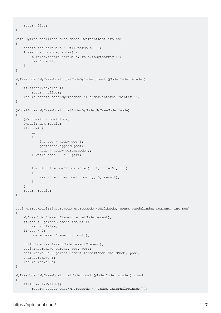```
 return list;
}
void MyTreeModel::setRoles(const QVariantList &roles)
{
     static int nextRole = Qt::UserRole + 1;
      foreach(auto role, roles) {
          m_roles.insert(nextRole, role.toByteArray());
          nextRole ++;
      }
}
MyTreeNode *MyTreeModel::getNodeByIndex(const QModelIndex &index)
{
      if(!index.isValid())
          return nullptr;
      return static_cast<MyTreeNode *>(index.internalPointer());
}
QModelIndex MyTreeModel::getIndexByNode(MyTreeNode *node)
{
      QVector<int> positions;
      QModelIndex result;
      if(node) {
           do
\left\{ \begin{array}{cc} 0 & 0 & 0 \\ 0 & 0 & 0 \\ 0 & 0 & 0 \\ 0 & 0 & 0 \\ 0 & 0 & 0 \\ 0 & 0 & 0 \\ 0 & 0 & 0 \\ 0 & 0 & 0 \\ 0 & 0 & 0 \\ 0 & 0 & 0 \\ 0 & 0 & 0 \\ 0 & 0 & 0 & 0 \\ 0 & 0 & 0 & 0 \\ 0 & 0 & 0 & 0 \\ 0 & 0 & 0 & 0 & 0 \\ 0 & 0 & 0 & 0 & 0 \\ 0 & 0 & 0 & 0 & 0 \\ 0 & 0 & 0 & 0 & 0 \\ 0 & 0 & 0 & 0 & 0int pos = node->pos();
                positions.append(pos);
                node = node->parentNode();
           } while(node != nullptr);
          for (int i = positions.size() - 2; i >= 0; i--)
           {
               result = index(positions[i], 0, result);
 }
      }
     return result;
}
bool MyTreeModel::insertNode(MyTreeNode *childNode, const QModelIndex &parent, int pos)
{
     MyTreeNode *parentElement = getNode(parent);
      if(pos >= parentElement->count())
          return false;
      if(pos < 0)
          pos = parentElement->count();
     childNode->setParentNode(parentElement);
     beginInsertRows(parent, pos, pos);
     bool retValue = parentElement->insertNode(childNode, pos);
    endInsertRows();
     return retValue;
}
MyTreeNode *MyTreeModel::getNode(const QModelIndex &index) const
{
      if(index.isValid())
           return static_cast<MyTreeNode *>(index.internalPointer());
```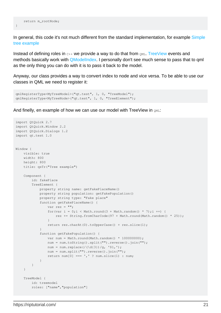}

In general, this code it's not much different from the standard implementation, for example [Simple](http://doc.qt.io/qt-5/qtwidgets-itemviews-simpletreemodel-example.html) [tree example](http://doc.qt.io/qt-5/qtwidgets-itemviews-simpletreemodel-example.html)

Instead of defining roles in  $C++$  we provide a way to do that from  $QML$ . [TreeView](http://doc.qt.io/qt-5/qml-qtquick-controls-treeview.html) events and methods basically work with **QModelIndex.** I personally don't see much sense to pass that to qml as the only thing you can do with it is to pass it back to the model.

Anyway, our class provides a way to convert index to node and vice versa. To be able to use our classes in QML we need to register it:

```
qmlRegisterType<MyTreeModel>("qt.test", 1, 0, "TreeModel");
qmlRegisterType<MyTreeNode>("qt.test", 1, 0, "TreeElement");
```
And finelly, en example of how we can use our model with TreeView in  $QML$ :

```
import QtQuick 2.7
import QtQuick.Window 2.2
import QtQuick.Dialogs 1.2
import qt.test 1.0
Window {
    visible: true
    width: 800
    height: 800
    title: qsTr("Tree example")
    Component {
        id: fakePlace
        TreeElement {
            property string name: getFakePlaceName()
            property string population: getFakePopulation()
            property string type: "Fake place"
             function getFakePlaceName() {
               var rez = " ";
                for(var i = 0; i < Math.round(3 + Math.random() * 7); i ++) {
                     rez += String.fromCharCode(97 + Math.round(Math.random() * 25));
 }
                return rez.charAt(0).toUpperCase() + rez.slice(1);
 }
             function getFakePopulation() {
               var num = Math.round(Math.random() * 100000000);
                num = num.toString().split("").reverse().join("");
               num = num.replace(/(\d{3})/g, '$1,');
               num = num.split("").reverse().join("");
               return num[0] === ', ' ? num.slice(1) : num;
 }
         }
     }
    TreeModel {
        id: treemodel
        roles: ["name","population"]
```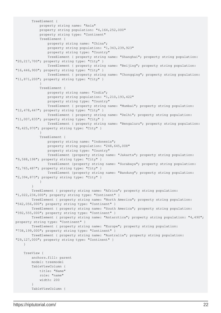```
 TreeElement {
             property string name: "Asia"
             property string population: "4,164,252,000"
            property string type: "Continent"
             TreeElement {
                 property string name: "China";
                 property string population: "1,343,239,923"
                 property string type: "Country"
                 TreeElement { property string name: "Shanghai"; property string population:
"20,217,700"; property string type: "City" }
                 TreeElement { property string name: "Beijing"; property string population:
"16,446,900"; property string type: "City" }
                 TreeElement { property string name: "Chongqing"; property string population:
"11,871,200"; property string type: "City" }
 }
             TreeElement {
                property string name: "India";
                 property string population: "1,210,193,422"
                 property string type: "Country"
                 TreeElement { property string name: "Mumbai"; property string population:
"12,478,447"; property string type: "City" }
                 TreeElement { property string name: "Delhi"; property string population:
"11,007,835"; property string type: "City" }
                 TreeElement { property string name: "Bengaluru"; property string population:
"8,425,970"; property string type: "City" }
 }
             TreeElement {
                 property string name: "Indonesia";
                 property string population: "248,645,008"
                 property string type: "Country"
                 TreeElement {property string name: "Jakarta"; property string population:
"9,588,198"; property string type: "City" }
                 TreeElement {property string name: "Surabaya"; property string population:
"2,765,487"; property string type: "City" }
                 TreeElement {property string name: "Bandung"; property string population:
"2,394,873"; property string type: "City" }
 }
         }
         TreeElement { property string name: "Africa"; property string population:
"1,022,234,000"; property string type: "Continent" }
         TreeElement { property string name: "North America"; property string population:
"542,056,000"; property string type: "Continent" }
         TreeElement { property string name: "South America"; property string population:
"392,555,000"; property string type: "Continent" }
        TreeElement { property string name: "Antarctica"; property string population: "4,490";
property string type: "Continent" }
        TreeElement { property string name: "Europe"; property string population:
"738,199,000"; property string type: "Continent" }
         TreeElement { property string name: "Australia"; property string population:
"29,127,000"; property string type: "Continent" }
    }
    TreeView {
        anchors.fill: parent
        model: treemodel
         TableViewColumn {
            title: "Name"
            role: "name"
            width: 200
 }
         TableViewColumn {
```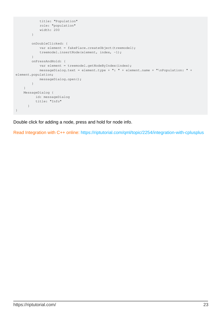```
 title: "Population"
            role: "population"
             width: 200
         }
         onDoubleClicked: {
            var element = fakePlace.createObject(treemodel);
            treemodel.insertNode(element, index, -1);
         }
         onPressAndHold: {
             var element = treemodel.getNodeByIndex(index);
            messageDialog.text = element.type + ": " + element.name + "\nPopulation: " +
element.population;
            messageDialog.open();
        }
    }
    MessageDialog {
         id: messageDialog
          title: "Info"
      }
}
```
Double click for adding a node, press and hold for node info.

Read Integration with C++ online:<https://riptutorial.com/qml/topic/2254/integration-with-cplusplus>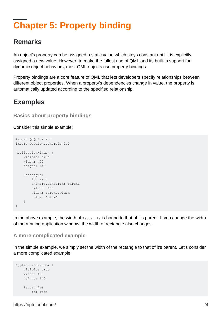# <span id="page-25-0"></span>**Chapter 5: Property binding**

### <span id="page-25-1"></span>**Remarks**

An object's property can be assigned a static value which stays constant until it is explicitly assigned a new value. However, to make the fullest use of QML and its built-in support for dynamic object behaviors, most QML objects use property bindings.

Property bindings are a core feature of QML that lets developers specify relationships between different object properties. When a property's dependencies change in value, the property is automatically updated according to the specified relationship.

### <span id="page-25-2"></span>**Examples**

#### <span id="page-25-3"></span>**Basics about property bindings**

Consider this simple example:

```
import QtQuick 2.7
import QtQuick.Controls 2.0
ApplicationWindow {
    visible: true
    width: 400
    height: 640
    Rectangle{
        id: rect
        anchors.centerIn: parent
        height: 100
        width: parent.width
        color: "blue"
     }
}
```
In the above example, the width of Rectangle is bound to that of it's parent. If you change the width of the running application window, the width of rectangle also changes.

#### <span id="page-25-4"></span>**A more complicated example**

In the simple example, we simply set the width of the rectangle to that of it's parent. Let's consider a more complicated example:

```
ApplicationWindow {
    visible: true
     width: 400
    height: 640
     Rectangle{
        id: rect
```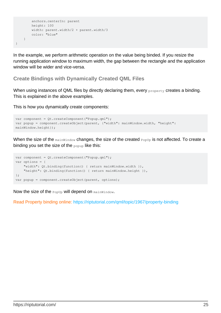```
 anchors.centerIn: parent
         height: 100
         width: parent.width/2 + parent.width/3
         color: "blue"
    }
}
```
In the example, we perform arithmetic operation on the value being binded. If you resize the running application window to maximum width, the gap between the rectangle and the application window will be wider and vice-versa.

<span id="page-26-0"></span>**Create Bindings with Dynamically Created QML Files**

When using instances of QML files by directly declaring them, every property creates a binding. This is explained in the above examples.

This is how you dynamically create components:

```
var component = Qt.createComponent("Popup.qml");
var popup = component.createObject(parent, {"width": mainWindow.width, "height":
mainWindow.height});
```
When the size of the mainWindow changes, the size of the created PopUp is not affected. To create a binding you set the size of the popup like this:

```
var component = Qt.createComponent("Popup.qml");
var options = {
     "width": Qt.binding(function() { return mainWindow.width }),
    "height": Qt.binding(function() { return mainWindow.height }),
};
var popup = component.createObject(parent, options);
```
Now the size of the  $PopUp$  will depend on  $mainWindow$ .

Read Property binding online:<https://riptutorial.com/qml/topic/1967/property-binding>